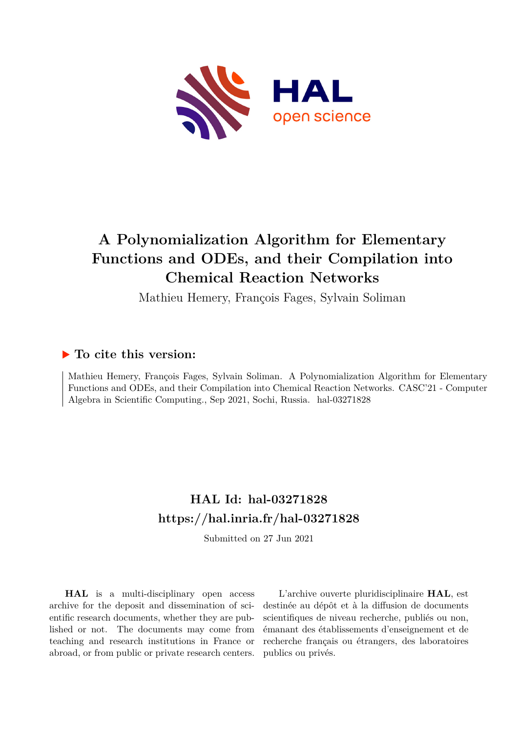

# **A Polynomialization Algorithm for Elementary Functions and ODEs, and their Compilation into Chemical Reaction Networks**

Mathieu Hemery, François Fages, Sylvain Soliman

### **To cite this version:**

Mathieu Hemery, François Fages, Sylvain Soliman. A Polynomialization Algorithm for Elementary Functions and ODEs, and their Compilation into Chemical Reaction Networks. CASC'21 - Computer Algebra in Scientific Computing., Sep 2021, Sochi, Russia. hal-03271828

## **HAL Id: hal-03271828 <https://hal.inria.fr/hal-03271828>**

Submitted on 27 Jun 2021

**HAL** is a multi-disciplinary open access archive for the deposit and dissemination of scientific research documents, whether they are published or not. The documents may come from teaching and research institutions in France or abroad, or from public or private research centers.

L'archive ouverte pluridisciplinaire **HAL**, est destinée au dépôt et à la diffusion de documents scientifiques de niveau recherche, publiés ou non, émanant des établissements d'enseignement et de recherche français ou étrangers, des laboratoires publics ou privés.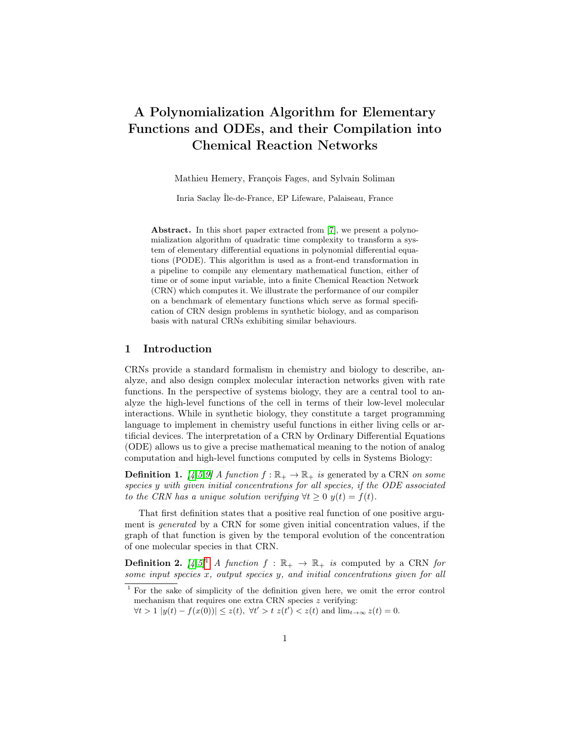### A Polynomialization Algorithm for Elementary Functions and ODEs, and their Compilation into Chemical Reaction Networks

Mathieu Hemery, François Fages, and Sylvain Soliman

Inria Saclay Île-de-France, EP Lifeware, Palaiseau, France

Abstract. In this short paper extracted from [7], we present a polynomialization algorithm of quadratic time complexity to transform a system of elementary differential equations in polynomial differential equations (PODE). This algorithm is used as a front-end transformation in a pipeline to compile any elementary mathematical function, either of time or of some input variable, into a finite Chemical Reaction Network (CRN) which computes it. We illustrate the performance of our compiler on a benchmark of elementary functions which serve as formal specification of CRN design problems in synthetic biology, and as comparison basis with natural CRNs exhibiting similar behaviours.

#### 1 Introduction

CRNs provide a standard formalism in chemistry and biology to describe, analyze, and also design complex molecular interaction networks given with rate functions. In the perspective of systems biology, they are a central tool to analyze the high-level functions of the cell in terms of their low-level molecular interactions. While in synthetic biology, they constitute a target programming language to implement in chemistry useful functions in either living cells or artificial devices. The interpretation of a CRN by Ordinary Differential Equations (ODE) allows us to give a precise mathematical meaning to the notion of analog computation and high-level functions computed by cells in Systems Biology:

**Definition 1.**  $\begin{bmatrix} 4.5.9 \end{bmatrix}$  A function  $f : \mathbb{R}_+ \to \mathbb{R}_+$  is generated by a CRN on some species y with given initial concentrations for all species, if the ODE associated to the CRN has a unique solution verifying  $\forall t \geq 0$   $y(t) = f(t)$ .

That first definition states that a positive real function of one positive argument is generated by a CRN for some given initial concentration values, if the graph of that function is given by the temporal evolution of the concentration of one molecular species in that CRN.

**Definition 2.**  $[4,5]^1$  A function  $f : \mathbb{R}_+ \to \mathbb{R}_+$  is computed by a CRN for some input species x, output species y, and initial concentrations given for all

<sup>1</sup> For the sake of simplicity of the definition given here, we omit the error control mechanism that requires one extra CRN species  $z$  verifying:

 $\forall t > 1 \ |y(t) - f(x(0))| \leq z(t), \ \forall t' > t \ z(t') < z(t) \text{ and } \lim_{t \to \infty} z(t) = 0.$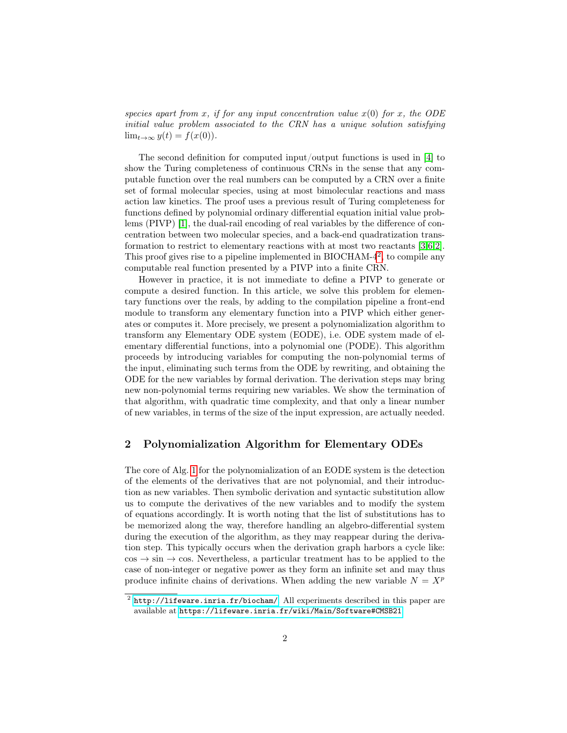species apart from x, if for any input concentration value  $x(0)$  for x, the ODE initial value problem associated to the CRN has a unique solution satisfying  $\lim_{t\to\infty} y(t) = f(x(0)).$ 

The second definition for computed input/output functions is used in [4] to show the Turing completeness of continuous CRNs in the sense that any computable function over the real numbers can be computed by a CRN over a finite set of formal molecular species, using at most bimolecular reactions and mass action law kinetics. The proof uses a previous result of Turing completeness for functions defined by polynomial ordinary differential equation initial value problems (PIVP) [1], the dual-rail encoding of real variables by the difference of concentration between two molecular species, and a back-end quadratization transformation to restrict to elementary reactions with at most two reactants [3,6,2]. This proof gives rise to a pipeline implemented in BIOCHAM-4<sup>2</sup>, to compile any computable real function presented by a PIVP into a finite CRN.

However in practice, it is not immediate to define a PIVP to generate or compute a desired function. In this article, we solve this problem for elementary functions over the reals, by adding to the compilation pipeline a front-end module to transform any elementary function into a PIVP which either generates or computes it. More precisely, we present a polynomialization algorithm to transform any Elementary ODE system (EODE), i.e. ODE system made of elementary differential functions, into a polynomial one (PODE). This algorithm proceeds by introducing variables for computing the non-polynomial terms of the input, eliminating such terms from the ODE by rewriting, and obtaining the ODE for the new variables by formal derivation. The derivation steps may bring new non-polynomial terms requiring new variables. We show the termination of that algorithm, with quadratic time complexity, and that only a linear number of new variables, in terms of the size of the input expression, are actually needed.

### 2 Polynomialization Algorithm for Elementary ODEs

The core of Alg. 1 for the polynomialization of an EODE system is the detection of the elements of the derivatives that are not polynomial, and their introduction as new variables. Then symbolic derivation and syntactic substitution allow us to compute the derivatives of the new variables and to modify the system of equations accordingly. It is worth noting that the list of substitutions has to be memorized along the way, therefore handling an algebro-differential system during the execution of the algorithm, as they may reappear during the derivation step. This typically occurs when the derivation graph harbors a cycle like:  $\cos \rightarrow \sin \rightarrow \cos$ . Nevertheless, a particular treatment has to be applied to the case of non-integer or negative power as they form an infinite set and may thus produce infinite chains of derivations. When adding the new variable  $N = X^p$ 

 $^{2}$  <http://lifeware.inria.fr/biocham/>. All experiments described in this paper are available at <https://lifeware.inria.fr/wiki/Main/Software#CMSB21>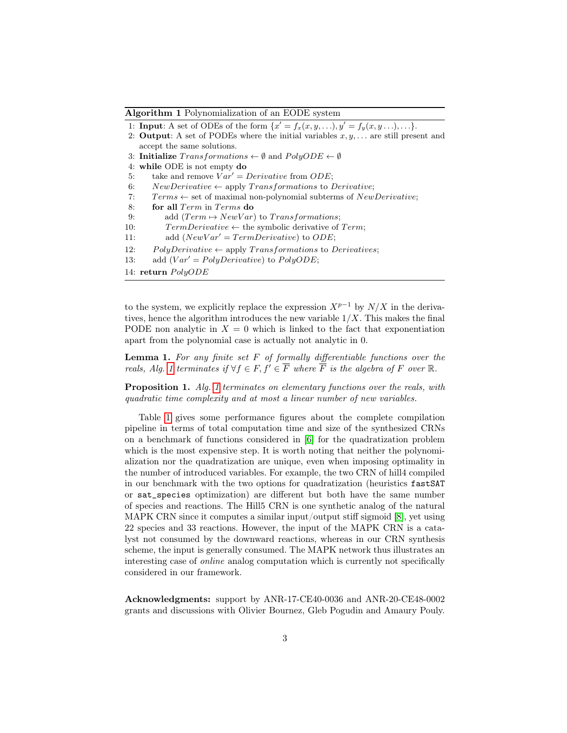Algorithm 1 Polynomialization of an EODE system

1: **Input**: A set of ODEs of the form  $\{x' = f_x(x, y, \ldots), y' = f_y(x, y, \ldots), \ldots\}.$ 

- 2: **Output**: A set of PODEs where the initial variables  $x, y, \ldots$  are still present and accept the same solutions.
- 3: Initialize  $Transformations \leftarrow \emptyset$  and  $PolyODE \leftarrow \emptyset$
- 4: while ODE is not empty do
- 5: take and remove  $Var' = Derivative$  from  $ODE;$
- 6: NewDerivative  $\leftarrow$  apply Transformations to Derivative;
- 7:  $Terms \leftarrow set$  of maximal non-polynomial subterms of  $NewDerivative;$
- 8: for all Term in Terms do
- 9: add  $(Term \rightarrow NewVar)$  to Transformations;
- 10:  $TermDerivative \leftarrow$  the symbolic derivative of  $Term;$
- 11: add  $(NewVar' = TermDerivative)$  to  $ODE;$
- 12: PolyDerivative  $\leftarrow$  apply Transformations to Derivatives;
- 13: add  $(Var' = PolyDerivative)$  to  $PolyODE;$
- 14: return  $PolyODE$

to the system, we explicitly replace the expression  $X^{p-1}$  by  $N/X$  in the derivatives, hence the algorithm introduces the new variable  $1/X$ . This makes the final PODE non analytic in  $X = 0$  which is linked to the fact that exponentiation apart from the polynomial case is actually not analytic in 0.

**Lemma 1.** For any finite set  $F$  of formally differentiable functions over the reals, Alg. 1 terminates if  $\forall f \in F, f' \in \overline{F}$  where  $\overline{F}$  is the algebra of F over  $\mathbb R$ .

Proposition 1. Alg. 1 terminates on elementary functions over the reals, with quadratic time complexity and at most a linear number of new variables.

Table 1 gives some performance figures about the complete compilation pipeline in terms of total computation time and size of the synthesized CRNs on a benchmark of functions considered in [6] for the quadratization problem which is the most expensive step. It is worth noting that neither the polynomialization nor the quadratization are unique, even when imposing optimality in the number of introduced variables. For example, the two CRN of hill4 compiled in our benchmark with the two options for quadratization (heuristics fastSAT or sat\_species optimization) are different but both have the same number of species and reactions. The Hill5 CRN is one synthetic analog of the natural MAPK CRN since it computes a similar input/output stiff sigmoid [8], yet using 22 species and 33 reactions. However, the input of the MAPK CRN is a catalyst not consumed by the downward reactions, whereas in our CRN synthesis scheme, the input is generally consumed. The MAPK network thus illustrates an interesting case of online analog computation which is currently not specifically considered in our framework.

Acknowledgments: support by ANR-17-CE40-0036 and ANR-20-CE48-0002 grants and discussions with Olivier Bournez, Gleb Pogudin and Amaury Pouly.